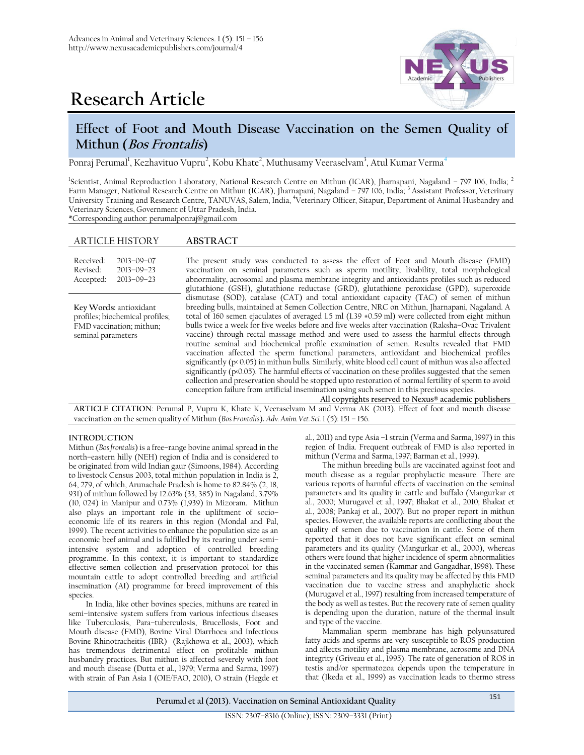



# **Effect of Foot and Mouth Disease Vaccination on the Semen Quality of Mithun (Bos Frontalis)**

Ponraj Perumal<sup>1</sup>, Kezhavituo Vupru<sup>2</sup>, Kobu Khate<sup>2</sup>, Muthusamy Veeraselvam<sup>3</sup>, Atul Kumar Verma<sup>4</sup>

<sup>1</sup>Scientist, Animal Reproduction Laboratory, National Research Centre on Mithun (ICAR), Jharnapani, Nagaland - 797 106, India; <sup>2</sup> Farm Manager, National Research Centre on Mithun (ICAR), Jharnapani, Nagaland – 797 106, India; <sup>3</sup> Assistant Professor, Veterinary University Training and Research Centre, TANUVAS, Salem, India, <sup>4</sup>Veterinary Officer, Sitapur, Department of Animal Husbandry and Veterinary Sciences, Government of Uttar Pradesh, India.

\*Corresponding author: [perumalponraj@gmail.com](mailto:perumalponraj@gmail.com)

## ARTICLE HISTORY **ABSTRACT**

Received: Revised: Accepted: 2013–09–07 2013–09–23 2013–09–23 The present study was conducted to assess the effect of Foot and Mouth disease (FMD) vaccination on seminal parameters such as sperm motility, livability, total morphological abnormality, acrosomal and plasma membrane integrity and antioxidants profiles such as reduced glutathione (GSH), glutathione reductase (GRD), glutathione peroxidase (GPD), superoxide dismutase (SOD), catalase (CAT) and total antioxidant capacity (TAC) of semen of mithun breeding bulls, maintained at Semen Collection Centre, NRC on Mithun, Jharnapani, Nagaland. A total of 160 semen ejaculates of averaged 1.5 ml (1.39 ±0.59 ml) were collected from eight mithun bulls twice a week for five weeks before and five weeks after vaccination (Raksha–Ovac Trivalent vaccine) through rectal massage method and were used to assess the harmful effects through routine seminal and biochemical profile examination of semen. Results revealed that FMD vaccination affected the sperm functional parameters, antioxidant and biochemical profiles significantly (p< 0.05) in mithun bulls. Similarly, white blood cell count of mithun was also affected significantly (p<0.05). The harmful effects of vaccination on these profiles suggested that the semen collection and preservation should be stopped upto restoration of normal fertility of sperm to avoid conception failure from artificial insemination using such semen in this precious species. **Key Words:** antioxidant profiles; biochemical profiles; FMD vaccination; mithun; seminal parameters

**All copyrights reserved to Nexus® academic publishers ARTICLE CITATION**: Perumal P, Vupru K, Khate K, Veeraselvam M and Verma AK (2013). Effect of foot and mouth disease vaccination on the semen quality of Mithun (*Bos Frontalis*)**.** *Adv. Anim. Vet. Sci.* 1 (5): 151 – 156.

## **INTRODUCTION**

Mithun (*Bos frontalis*) is a free–range bovine animal spread in the north–eastern hilly (NEH) region of India and is considered to be originated from wild Indian gaur (Simoons, 1984). According to livestock Census 2003, total mithun population in India is 2, 64, 279, of which, Arunachale Pradesh is home to 82.84% (2, 18, 931) of mithun followed by 12.63% (33, 385) in Nagaland, 3.79% (10, 024) in Manipur and 0.73% (1,939) in Mizoram. Mithun also plays an important role in the upliftment of socio– economic life of its rearers in this region (Mondal and Pal, 1999). The recent activities to enhance the population size as an economic beef animal and is fulfilled by its rearing under semi– intensive system and adoption of controlled breeding programme. In this context, it is important to standardize effective semen collection and preservation protocol for this mountain cattle to adopt controlled breeding and artificial insemination (AI) programme for breed improvement of this species.

In India, like other bovines species, mithuns are reared in semi–intensive system suffers from various infectious diseases like Tuberculosis, Para–tuberculosis, Brucellosis, Foot and Mouth disease (FMD), Bovine Viral Diarrhoea and Infectious Bovine Rhinotracheitis (IBR) (Rajkhowa et al., 2003), which has tremendous detrimental effect on profitable mithun husbandry practices. But mithun is affected severely with foot and mouth disease (Dutta et al., 1979; Verma and Sarma, 1997) with strain of Pan Asia I (OIE/FAO, 2010), O strain (Hegde et

al., 2011) and type Asia –1 strain (Verma and Sarma, 1997) in this region of India. Frequent outbreak of FMD is also reported in mithun (Verma and Sarma, 1997; Barman et al., 1999).

The mithun breeding bulls are vaccinated against foot and mouth disease as a regular prophylactic measure. There are various reports of harmful effects of vaccination on the seminal parameters and its quality in cattle and buffalo (Mangurkar et al., 2000; Murugavel et al., 1997; Bhakat et al., 2010; Bhakat et al., 2008; Pankaj et al., 2007). But no proper report in mithun species. However, the available reports are conflicting about the quality of semen due to vaccination in cattle. Some of them reported that it does not have significant effect on seminal parameters and its quality (Mangurkar et al., 2000), whereas others were found that higher incidence of sperm abnormalities in the vaccinated semen (Kammar and Gangadhar, 1998). These seminal parameters and its quality may be affected by this FMD vaccination due to vaccine stress and anaphylactic shock (Murugavel et al., 1997) resulting from increased temperature of the body as well as testes. But the recovery rate of semen quality is depending upon the duration, nature of the thermal insult and type of the vaccine.

Mammalian sperm membrane has high polyunsatured fatty acids and sperms are very susceptible to ROS production and affects motility and plasma membrane, acrosome and DNA integrity (Griveau et al., 1995). The rate of generation of ROS in testis and/or spermatozoa depends upon the temperature in that (Ikeda et al., 1999) as vaccination leads to thermo stress

**Perumal et al (2013). Vaccination on Seminal Antioxidant Quality** 

ISSN: 2307–8316 (Online); ISSN: 2309–3331 (Print)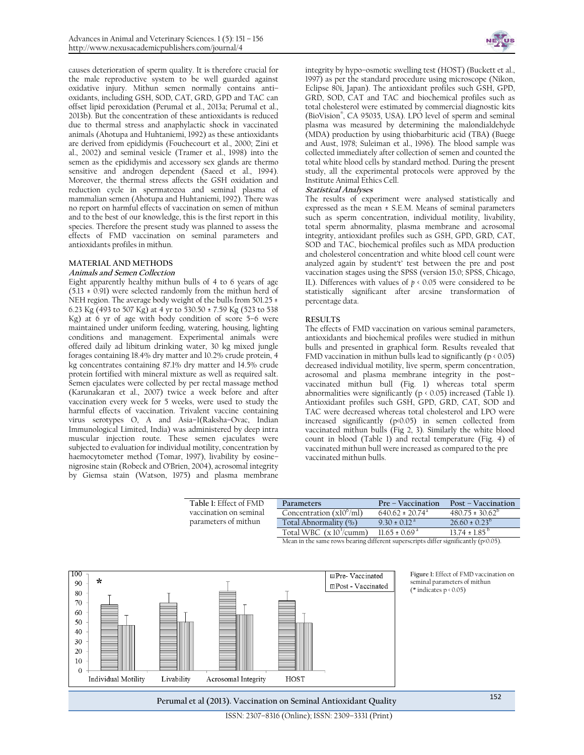causes deterioration of sperm quality. It is therefore crucial for the male reproductive system to be well guarded against oxidative injury. Mithun semen normally contains anti– oxidants, including GSH, SOD, CAT, GRD, GPD and TAC can offset lipid peroxidation (Perumal et al., 2013a; Perumal et al., 2013b). But the concentration of these antioxidants is reduced due to thermal stress and anaphylactic shock in vaccinated animals (Ahotupa and Huhtaniemi, 1992) as these antioxidants are derived from epididymis (Fouchecourt et al., 2000; Zini et al., 2002) and seminal vesicle (Tramer et al., 1998) into the semen as the epididymis and accessory sex glands are thermo sensitive and androgen dependent (Saeed et al., 1994). Moreover, the thermal stress affects the GSH oxidation and reduction cycle in spermatozoa and seminal plasma of mammalian semen (Ahotupa and Huhtaniemi, 1992). There was no report on harmful effects of vaccination on semen of mithun and to the best of our knowledge, this is the first report in this species. Therefore the present study was planned to assess the effects of FMD vaccination on seminal parameters and antioxidants profiles in mithun.

## **MATERIAL AND METHODS**

## **Animals and Semen Collection**

Eight apparently healthy mithun bulls of 4 to 6 years of age  $(5.13 \pm 0.91)$  were selected randomly from the mithun herd of NEH region. The average body weight of the bulls from 501.25 ± 6.23 Kg (493 to 507 Kg) at 4 yr to 530.50 ± 7.59 Kg (523 to 538 Kg) at 6 yr of age with body condition of score 5–6 were maintained under uniform feeding, watering, housing, lighting conditions and management. Experimental animals were offered daily ad libitum drinking water, 30 kg mixed jungle forages containing 18.4% dry matter and 10.2% crude protein, 4 kg concentrates containing 87.1% dry matter and 14.5% crude protein fortified with mineral mixture as well as required salt. Semen ejaculates were collected by per rectal massage method (Karunakaran et al., 2007) twice a week before and after vaccination every week for 5 weeks, were used to study the harmful effects of vaccination. Trivalent vaccine containing virus serotypes O, A and Asia–1(Raksha–Ovac, Indian Immunological Limited, India) was administered by deep intra muscular injection route. These semen ejaculates were subjected to evaluation for individual motility, concentration by haemocytometer method (Tomar, 1997), livability by eosine– nigrosine stain (Robeck and O'Brien, 2004), acrosomal integrity by Giemsa stain (Watson, 1975) and plasma membrane



integrity by hypo–osmotic swelling test (HOST) (Buckett et al., 1997) as per the standard procedure using microscope (Nikon, Eclipse 80i, Japan). The antioxidant profiles such GSH, GPD, GRD, SOD, CAT and TAC and biochemical profiles such as total cholesterol were estimated by commercial diagnostic kits (BioVision® , CA 95035, USA). LPO level of sperm and seminal plasma was measured by determining the malondialdehyde (MDA) production by using thiobarbituric acid (TBA) (Buege and Aust, 1978; Suleiman et al., 1996). The blood sample was collected immediately after collection of semen and counted the total white blood cells by standard method. During the present study, all the experimental protocols were approved by the Institute Animal Ethics Cell.

## **Statistical Analyses**

The results of experiment were analysed statistically and expressed as the mean ± S.E.M. Means of seminal parameters such as sperm concentration, individual motility, livability, total sperm abnormality, plasma membrane and acrosomal integrity, antioxidant profiles such as GSH, GPD, GRD, CAT, SOD and TAC, biochemical profiles such as MDA production and cholesterol concentration and white blood cell count were analyzed again by student't' test between the pre and post vaccination stages using the SPSS (version 15.0; SPSS, Chicago, IL). Differences with values of  $p \leftarrow 0.05$  were considered to be statistically significant after arcsine transformation of percentage data.

## **RESULTS**

The effects of FMD vaccination on various seminal parameters, antioxidants and biochemical profiles were studied in mithun bulls and presented in graphical form. Results revealed that FMD vaccination in mithun bulls lead to significantly ( $p \le 0.05$ ) decreased individual motility, live sperm, sperm concentration, acrosomal and plasma membrane integrity in the post– vaccinated mithun bull (Fig. 1) whereas total sperm abnormalities were significantly ( $p \triangleleft 0.05$ ) increased (Table 1). Antioxidant profiles such GSH, GPD, GRD, CAT, SOD and TAC were decreased whereas total cholesterol and LPO were increased significantly (p<0.05) in semen collected from vaccinated mithun bulls (Fig 2, 3). Similarly the white blood count in blood (Table 1) and rectal temperature (Fig. 4) of vaccinated mithun bull were increased as compared to the pre vaccinated mithun bulls.

| Table 1: Effect of FMD                         | Parameters                                                                               | Pre – Vaccination               | Post – Vaccination            |
|------------------------------------------------|------------------------------------------------------------------------------------------|---------------------------------|-------------------------------|
| vaccination on seminal<br>parameters of mithun | Concentration $(x10^{\circ}/m)$                                                          | $640.62 \pm 20.74$ <sup>a</sup> | $480.75 \pm 30.62^{\circ}$    |
|                                                | Total Abnormality (%)                                                                    | $9.30 \pm 0.12^{\text{a}}$      | $26.60 \pm 0.23^{b}$          |
|                                                | Total WBC $(x 103/cumm)$                                                                 | $11.65 \pm 0.69$ <sup>a</sup>   | $13.74 \pm 1.85^{\mathrm{b}}$ |
|                                                | Mean in the same rows bearing different superscripts differ significantly ( $p(0.05)$ ). |                                 |                               |
|                                                |                                                                                          |                                 |                               |
|                                                |                                                                                          |                                 |                               |

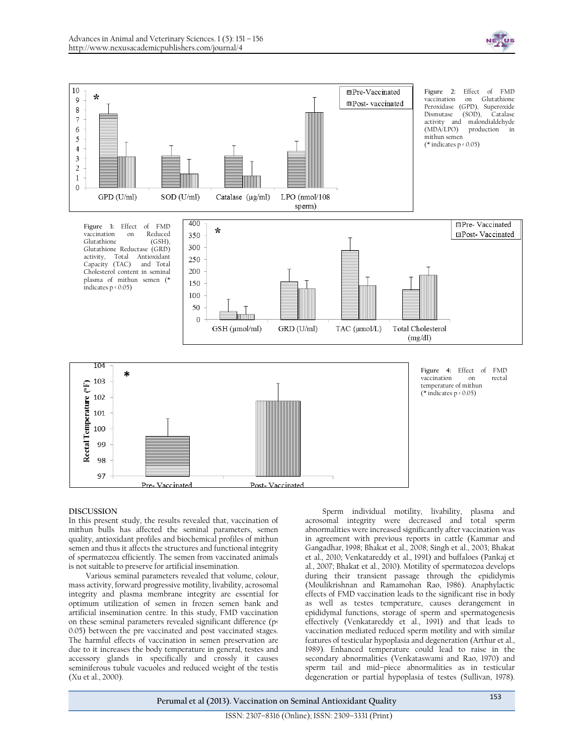



## **DISCUSSION**

In this present study, the results revealed that, vaccination of mithun bulls has affected the seminal parameters, semen quality, antioxidant profiles and biochemical profiles of mithun semen and thus it affects the structures and functional integrity of spermatozoa efficiently. The semen from vaccinated animals is not suitable to preserve for artificial insemination.

Various seminal parameters revealed that volume, colour, mass activity, forward progressive motility, livability, acrosomal integrity and plasma membrane integrity are essential for optimum utilization of semen in frozen semen bank and artificial insemination centre. In this study, FMD vaccination on these seminal parameters revealed significant difference (p< 0.05) between the pre vaccinated and post vaccinated stages. The harmful effects of vaccination in semen preservation are due to it increases the body temperature in general, testes and accessory glands in specifically and crossly it causes seminiferous tubule vacuoles and reduced weight of the testis (Xu et al., 2000).

Sperm individual motility, livability, plasma and acrosomal integrity were decreased and total sperm abnormalities were increased significantly after vaccination was in agreement with previous reports in cattle (Kammar and Gangadhar, 1998; Bhakat et al., 2008; Singh et al., 2003; Bhakat et al., 2010; Venkatareddy et al., 1991) and buffaloes (Pankaj et al., 2007; Bhakat et al., 2010). Motility of spermatozoa develops during their transient passage through the epididymis (Moulikrishnan and Ramamohan Rao, 1986). Anaphylactic effects of FMD vaccination leads to the significant rise in body as well as testes temperature, causes derangement in epididymal functions, storage of sperm and spermatogenesis effectively (Venkatareddy et al., 1991) and that leads to vaccination mediated reduced sperm motility and with similar features of testicular hypoplasia and degeneration (Arthur et al., 1989). Enhanced temperature could lead to raise in the secondary abnormalities (Venkataswami and Rao, 1970) and sperm tail and mid–piece abnormalities as in testicular degeneration or partial hypoplasia of testes (Sullivan, 1978).

**Perumal et al (2013). Vaccination on Seminal Antioxidant Quality**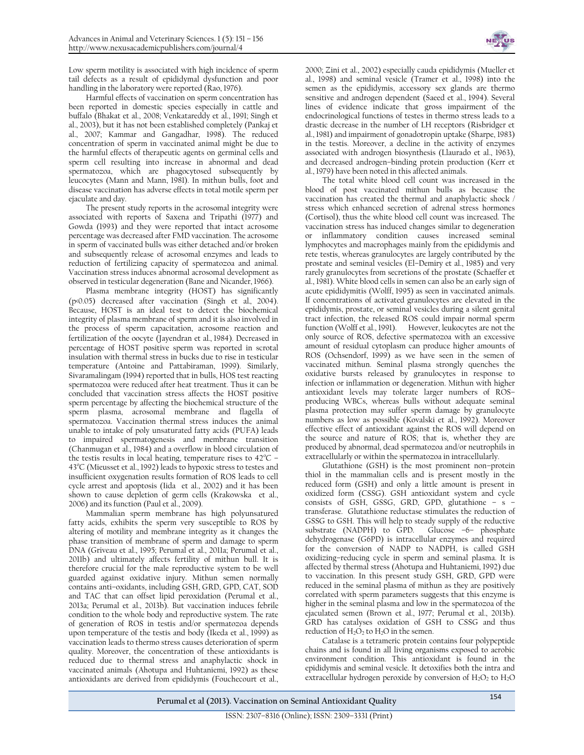

Low sperm motility is associated with high incidence of sperm tail defects as a result of epididymal dysfunction and poor handling in the laboratory were reported (Rao, 1976).

Harmful effects of vaccination on sperm concentration has been reported in domestic species especially in cattle and buffalo (Bhakat et al., 2008; Venkatareddy et al., 1991; Singh et al., 2003), but it has not been established completely (Pankaj et al., 2007; Kammar and Gangadhar, 1998). The reduced concentration of sperm in vaccinated animal might be due to the harmful effects of therapeutic agents on germinal cells and sperm cell resulting into increase in abnormal and dead spermatozoa, which are phagocytosed subsequently by leucocytes (Mann and Mann, 1981). In mithun bulls, foot and disease vaccination has adverse effects in total motile sperm per ejaculate and day.

The present study reports in the acrosomal integrity were associated with reports of Saxena and Tripathi (1977) and Gowda (1993) and they were reported that intact acrosome percentage was decreased after FMD vaccination. The acrosome in sperm of vaccinated bulls was either detached and/or broken and subsequently release of acrosomal enzymes and leads to reduction of fertilizing capacity of spermatozoa and animal. Vaccination stress induces abnormal acrosomal development as observed in testicular degeneration (Bane and Nicander, 1966).

Plasma membrane integrity (HOST) has significantly (p<0.05) decreased after vaccination (Singh et al*.,* 2004). Because, HOST is an ideal test to detect the biochemical integrity of plasma membrane of sperm and it is also involved in the process of sperm capacitation, acrosome reaction and fertilization of the oocyte (Jayendran et al*.*, 1984). Decreased in percentage of HOST positive sperm was reported in scrotal insulation with thermal stress in bucks due to rise in testicular temperature (Antoine and Pattabiraman, 1999). Similarly, Sivaramalingam (1994) reported that in bulls, HOS test reacting spermatozoa were reduced after heat treatment. Thus it can be concluded that vaccination stress affects the HOST positive sperm percentage by affecting the biochemical structure of the sperm plasma, acrosomal membrane and flagella of spermatozoa. Vaccination thermal stress induces the animal unable to intake of poly unsaturated fatty acids (PUFA) leads to impaired spermatogenesis and membrane transition (Chanmugan et al., 1984) and a overflow in blood circulation of the testis results in local heating, temperature rises to  $42^{\circ}$ C –  $43^{\circ}$ C (Mieusset et al., 1992) leads to hypoxic stress to testes and insufficient oxygenation results formation of ROS leads to cell cycle arrest and apoptosis (Iida et al., 2002) and it has been shown to cause depletion of germ cells (Krakowska et al., 2006) and its function (Paul et al., 2009).

Mammalian sperm membrane has high polyunsatured fatty acids, exhibits the sperm very susceptible to ROS by altering of motility and membrane integrity as it changes the phase transition of membrane of sperm and damage to sperm DNA (Griveau et al., 1995; Perumal et al., 2011a; Perumal et al., 2011b) and ultimately affects fertility of mithun bull. It is therefore crucial for the male reproductive system to be well guarded against oxidative injury. Mithun semen normally contains anti–oxidants, including GSH, GRD, GPD, CAT, SOD and TAC that can offset lipid peroxidation (Perumal et al., 2013a; Perumal et al., 2013b). But vaccination induces febrile condition to the whole body and reproductive system. The rate of generation of ROS in testis and/or spermatozoa depends upon temperature of the testis and body (Ikeda et al., 1999) as vaccination leads to thermo stress causes deterioration of sperm quality. Moreover, the concentration of these antioxidants is reduced due to thermal stress and anaphylactic shock in vaccinated animals (Ahotupa and Huhtaniemi, 1992) as these antioxidants are derived from epididymis (Fouchecourt et al.,

2000; Zini et al., 2002) especially cauda epididymis (Mueller et al., 1998) and seminal vesicle (Tramer et al., 1998) into the semen as the epididymis, accessory sex glands are thermo sensitive and androgen dependent (Saeed et al., 1994). Several lines of evidence indicate that gross impairment of the endocrinological functions of testes in thermo stress leads to a drastic decrease in the number of LH receptors (Risbridger et al., 1981) and impairment of gonadotropin uptake (Sharpe, 1983) in the testis. Moreover, a decline in the activity of enzymes associated with androgen biosynthesis (Llaurado et al., 1963), and decreased androgen–binding protein production (Kerr et al., 1979) have been noted in this affected animals.

The total white blood cell count was increased in the blood of post vaccinated mithun bulls as because the vaccination has created the thermal and anaphylactic shock / stress which enhanced secretion of adrenal stress hormones (Cortisol), thus the white blood cell count was increased. The vaccination stress has induced changes similar to degeneration or inflammatory condition causes increased seminal lymphocytes and macrophages mainly from the epididymis and rete testis, whereas granulocytes are largely contributed by the prostate and seminal vesicles (El–Demiry et al., 1985) and very rarely granulocytes from secretions of the prostate (Schaeffer et al., 1981). White blood cells in semen can also be an early sign of acute epididymitis (Wolff, 1995) as seen in vaccinated animals. If concentrations of activated granulocytes are elevated in the epididymis, prostate, or seminal vesicles during a silent genital tract infection, the released ROS could impair normal sperm function (Wolff et al., 1991). However, leukocytes are not the only source of ROS, defective spermatozoa with an excessive amount of residual cytoplasm can produce higher amounts of ROS (Ochsendorf, 1999) as we have seen in the semen of vaccinated mithun. Seminal plasma strongly quenches the oxidative bursts released by granulocytes in response to infection or inflammation or degeneration. Mithun with higher antioxidant levels may tolerate larger numbers of ROS– producing WBCs, whereas bulls without adequate seminal plasma protection may suffer sperm damage by granulocyte numbers as low as possible (Kovalski et al., 1992). Moreover effective effect of antioxidant against the ROS will depend on the source and nature of ROS; that is, whether they are produced by abnormal, dead spermatozoa and/or neutrophils in extracellularly or within the spermatozoa in intracellularly.

Glutathione (GSH) is the most prominent non–protein thiol in the mammalian cells and is present mostly in the reduced form (GSH) and only a little amount is present in oxidized form (CSSG). GSH antioxidant system and cycle consists of GSH, GSSG, GRD, GPD, glutathione – s – transferase. Glutathione reductase stimulates the reduction of GSSG to GSH. This will help to steady supply of the reductive substrate (NADPH) to GPD. Glucose –6– phosphate dehydrogenase (G6PD) is intracellular enzymes and required for the conversion of NADP to NADPH, is called GSH oxidizing–reducing cycle in sperm and seminal plasma. It is affected by thermal stress (Ahotupa and Huhtaniemi, 1992) due to vaccination. In this present study GSH, GRD, GPD were reduced in the seminal plasma of mithun as they are positively correlated with sperm parameters suggests that this enzyme is higher in the seminal plasma and low in the spermatozoa of the ejaculated semen (Brown et al., 1977; Perumal et al., 2013b). GRD has catalyses oxidation of GSH to CSSG and thus reduction of  $H_2O_2$  to  $H_2O$  in the semen.

Catalase is a tetrameric protein contains four polypeptide chains and is found in all living organisms exposed to aerobic environment condition. This antioxidant is found in the epididymis and seminal vesicle. It detoxifies both the intra and extracellular hydrogen peroxide by conversion of  $H_2O_2$  to  $H_2O$ 

**Perumal et al (2013). Vaccination on Seminal Antioxidant Quality**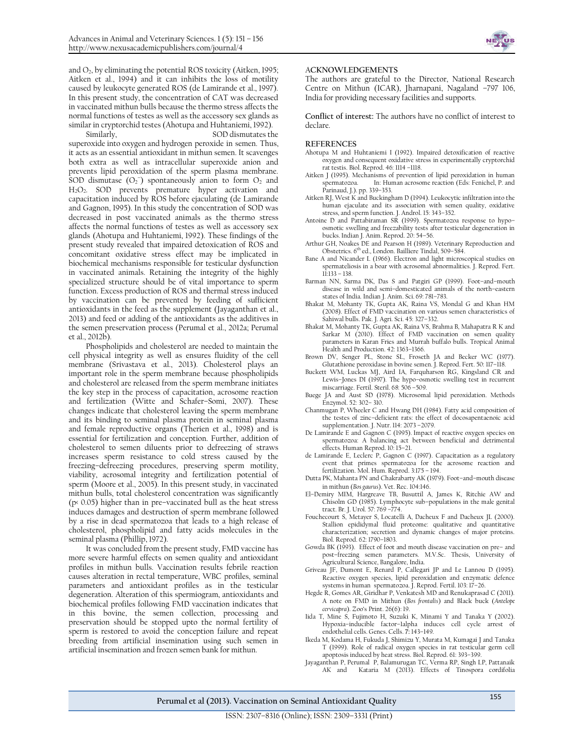

and  $O_2$ , by eliminating the potential ROS toxicity (Aitken, 1995; Aitken et al., 1994) and it can inhibits the loss of motility caused by leukocyte generated ROS (de Lamirande et al., 1997). In this present study, the concentration of CAT was decreased in vaccinated mithun bulls because the thermo stress affects the normal functions of testes as well as the accessory sex glands as similar in cryptorchid testes (Ahotupa and Huhtaniemi, 1992).

Similarly, SOD [dismutates](http://en.wikipedia.org/wiki/Dismutation) the [superoxide](http://en.wikipedia.org/wiki/Superoxide) into [oxygen](http://en.wikipedia.org/wiki/Oxygen) and [hydrogen peroxide](http://en.wikipedia.org/wiki/Hydrogen_peroxide) in semen. Thus, it acts as an essentia[l antioxidant](http://en.wikipedia.org/wiki/Antioxidant) in mithun semen. It scavenges both extra as well as intracellular superoxide anion and prevents lipid peroxidation of the sperm plasma membrane. SOD dismutase  $(O_2^-)$  spontaneously anion to form  $O_2$  and H<sub>2</sub>O<sub>2</sub>. SOD prevents premature hyper activation and capacitation induced by ROS before ejaculating (de Lamirande and Gagnon, 1995). In this study the concentration of SOD was decreased in post vaccinated animals as the thermo stress affects the normal functions of testes as well as accessory sex glands (Ahotupa and Huhtaniemi, 1992). These findings of the present study revealed that impaired detoxication of ROS and concomitant oxidative stress effect may be implicated in biochemical mechanisms responsible for testicular dysfunction in vaccinated animals. Retaining the integrity of the highly specialized structure should be of vital importance to sperm function. Excess production of ROS and thermal stress induced by vaccination can be prevented by feeding of sufficient antioxidants in the feed as the supplement (Jayaganthan et al., 2013) and feed or adding of the antioxidants as the additives in the semen preservation process (Perumal et al., 2012a; Perumal et al., 2012b).

Phospholipids and cholesterol are needed to maintain the cell physical integrity as well as ensures fluidity of the cell membrane (Srivastava et al., 2013). Cholesterol plays an important role in the sperm membrane because phospholipids and cholesterol are released from the sperm membrane initiates the key step in the process of capacitation, acrosome reaction and fertilization (Witte and Schafer–Somi, 2007). These changes indicate that cholesterol leaving the sperm membrane and its binding to seminal plasma protein in seminal plasma and female reproductive organs (Therien et al., 1998) and is essential for fertilization and conception. Further, addition of cholesterol to semen diluents prior to defreezing of straws increases sperm resistance to cold stress caused by the freezing–defreezing procedures, preserving sperm motility, viability, acrosomal integrity and fertilization potential of sperm (Moore et al., 2005). In this present study, in vaccinated mithun bulls, total cholesterol concentration was significantly (p< 0.05) higher than in pre–vaccinated bull as the heat stress induces damages and destruction of sperm membrane followed by a rise in dead spermatozoa that leads to a high release of cholesterol, phospholipid and fatty acids molecules in the seminal plasma (Phillip, 1972).

It was concluded from the present study, FMD vaccine has more severe harmful effects on semen quality and antioxidant profiles in mithun bulls. Vaccination results febrile reaction causes alteration in rectal temperature, WBC profiles, seminal parameters and antioxidant profiles as in the testicular degeneration. Alteration of this spermiogram, antioxidants and biochemical profiles following FMD vaccination indicates that in this bovine, the semen collection, processing and preservation should be stopped upto the normal fertility of sperm is restored to avoid the conception failure and repeat breeding from artificial insemination using such semen in artificial insemination and frozen semen bank for mithun.

#### A**CKNOWLEDGEMENTS**

The authors are grateful to the Director, National Research Centre on Mithun (ICAR), Jharnapani, Nagaland –797 106, India for providing necessary facilities and supports.

**Conflict of interest:** The authors have no conflict of interest to declare.

#### **REFERENCES**

- Ahotupa M and Huhtaniemi I (1992). Impaired detoxification of reactive oxygen and consequent oxidative stress in experimentally cryptorchid rat testis. Biol. Reprod. 46: 1114 –1118.
- Aitken J (1995). Mechanisms of prevention of lipid peroxidation in human spermatozoa. In: Human acrosome reaction (Eds: Fenichel, P. and In: Human acrosome reaction (Eds: Fenichel, P. and Parinaud, J.). pp. 339–353.
- Aitken RJ, West K and Buckingham D (1994). Leukocytic infiltration into the human ejaculate and its association with semen quality, oxidative stress, and sperm function. J. Androl. 15: 343–352.
- Antoine D and Pattabiraman SR (1999). Spermatozoa response to hypo– osmotic swelling and freezability tests after testicular degeneration in bucks. Indian J. Anim. Reprod. 20: 54–56.
- Arthur GH, Noakes DE and Pearson H (1989). Veterinary Reproduction and Obstetrics. 6th ed., London. Bailliere Tindal, 509–584.
- Bane A and Nicander L (1966). Electron and light microscopical studies on spermateliosis in a boar with acrosomal abnormalities. J. Reprod. Fert. 11:133 – 138.
- Barman NN, Sarma DK, Das S and Patgiri GP (1999). Foot–and–mouth disease in wild and semi–domesticated animals of the north–eastern states of India. Indian J. Anim. Sci. 69: 781–783.
- Bhakat M, Mohanty TK, Gupta AK, Raina VS, Mondal G and Khan HM (2008). Effect of FMD vaccination on various semen characteristics of Sahiwal bulls. Pak. J. Agri. Sci. 45: 327–332.
- Bhakat M, Mohanty TK, Gupta AK, Raina VS, Brahma B, Mahapatra R K and Sarkar M (2010). Effect of FMD vaccination on semen quality parameters in Karan Fries and Murrah buffalo bulls. Tropical Animal Health and Production. 42: 1363–1366.
- Brown DV, Senger PL, Stone SL, Froseth JA and Becker WC (1977). Glutathione peroxidase in bovine semen. J. Reprod. Fert. 50: 117–118.
- Buckett WM, Luckas MJ, Aird IA, Farquharson RG, Kingsland CR and Lewis–Jones DI (1997). The hypo–osmotic swelling test in recurrent miscarriage. Fertil. Steril. 68: 506 –509.
- Buege JA and Aust SD (1978). Microsomal lipid peroxidation. Methods Enzymol. 52: 302– 310.
- Chanmugan P, Wheeler C and Hwang DH (1984). Fatty acid composition of the testes of zinc–deficient rats: the effect of docosapentaenoic acid supplementation. J. Nutr. 114: 2073 –2079.
- De Lamirande E and Gagnon C (1995). Impact of reactive oxygen species on spermatozoa: A balancing act between beneficial and detrimental effects. Human Reprod. 10: 15–21.
- de Lamirande E, Leclerc P, Gagnon C (1997). Capacitation as a regulatory event that primes spermatozoa for the acrosome reaction and fertilization. Mol. Hum. Reprod. 3:175 – 194.
- Dutta PK, Mahanta PN and Chakrabarty AK (1979). Foot–and–mouth disease in mithun (*Bos gaurus*). Vet. Rec. 104:146.
- El–Demiry MIM, Hargreave TB, Busuttil A, James K, Ritchie AW and Chisolm GD (1985). Lymphocyte sub–populations in the male genital tract. Br. J. Urol. 57: 769 –774.
- Fouchecourt S, Metayer S, Locatelli A, Dacheux F and Dacheux JL (2000). Stallion epididymal fluid proteome: qualitative and quantitative characterization; secretion and dynamic changes of major proteins. Biol. Reprod. 62: 1790–1803.
- Gowda BK (1993). Effect of foot and mouth disease vaccination on pre– and post–freezing semen parameters. M.V.Sc. Thesis, University of Agricultural Science, Bangalore, India.
- Griveau JF, Dumont E, Renard P, Callegari JP and Le Lannou D (1995). Reactive oxygen species, lipid peroxidation and enzymatic defence systems in human spermatozoa. J. Reprod. Fertil. 103: 17–26.
- Hegde R, Gomes AR, Giridhar P, Venkatesh MD and Renukaprasad C (2011). A note on FMD in Mithun (*Bos frontalis*) and Black buck (*Antelope cervicapra*). Zoo's Print. 26(6): 19.
- Iida T, Mine S, Fujimoto H, Suzuki K, Minami Y and Tanaka Y (2002). Hypoxia–inducible factor–1alpha induces cell cycle arrest of endothelial cells. Genes. Cells. **7:** 143–149.
- Ikeda M, Kodama H, Fukuda J, Shimizu Y, Murata M, Kumagai J and Tanaka T (1999). Role of radical oxygen species in rat testicular germ cell apoptosis induced by heat stress. Biol. Reprod. 61: 393–399.
- Jayaganthan P, Perumal P, Balamurugan TC, Verma RP, Singh LP, Pattanaik Kataria M (2013). Effects of Tinospora cordifolia